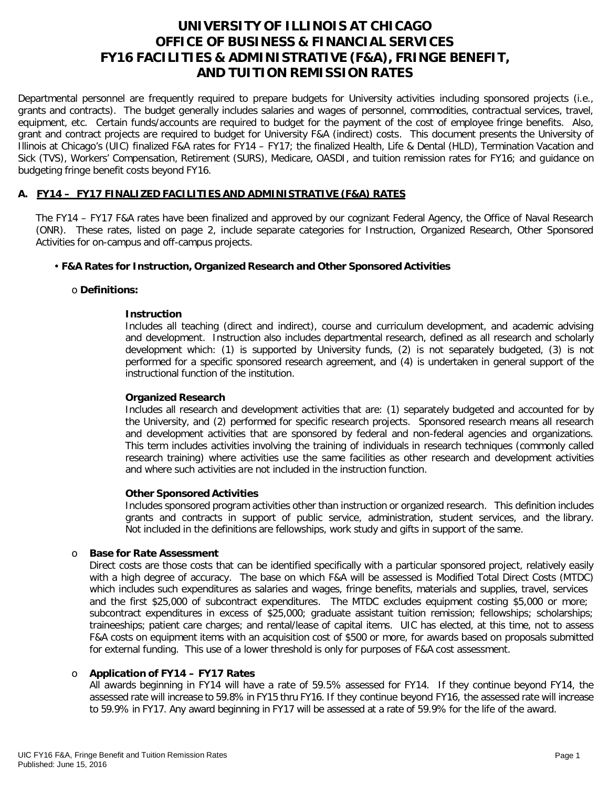# **UNIVERSITY OF ILLINOIS AT CHICAGO OFFICE OF BUSINESS & FINANCIAL SERVICES FY16 FACILITIES & ADMINISTRATIVE (F&A), FRINGE BENEFIT, AND TUITION REMISSION RATES**

Departmental personnel are frequently required to prepare budgets for University activities including sponsored projects (i.e., grants and contracts). The budget generally includes salaries and wages of personnel, commodities, contractual services, travel, equipment, etc. Certain funds/accounts are required to budget for the payment of the cost of employee fringe benefits. Also, grant and contract projects are required to budget for University F&A (indirect) costs. This document presents the University of Illinois at Chicago's (UIC) finalized F&A rates for FY14 – FY17; the finalized Health, Life & Dental (HLD), Termination Vacation and Sick (TVS), Workers' Compensation, Retirement (SURS), Medicare, OASDI, and tuition remission rates for FY16; and guidance on budgeting fringe benefit costs beyond FY16.

# **A. FY14 – FY17 FINALIZED FACILITIES AND ADMINISTRATIVE (F&A) RATES**

The FY14 – FY17 F&A rates have been finalized and approved by our cognizant Federal Agency, the Office of Naval Research (ONR). These rates, listed on page 2, include separate categories for Instruction, Organized Research, Other Sponsored Activities for on-campus and off-campus projects.

## • **F&A Rates for Instruction, Organized Research and Other Sponsored Activities**

#### o **Definitions:**

#### **Instruction**

Includes all teaching (direct and indirect), course and curriculum development, and academic advising and development. Instruction also includes departmental research, defined as all research and scholarly development which: (1) is supported by University funds, (2) is not separately budgeted, (3) is not performed for a specific sponsored research agreement, and (4) is undertaken in general support of the instructional function of the institution.

#### **Organized Research**

Includes all research and development activities that are: (1) separately budgeted and accounted for by the University, and (2) performed for specific research projects. Sponsored research means all research and development activities that are sponsored by federal and non-federal agencies and organizations. This term includes activities involving the training of individuals in research techniques (commonly called research training) where activities use the same facilities as other research and development activities and where such activities are not included in the instruction function.

#### **Other Sponsored Activities**

Includes sponsored program activities other than instruction or organized research. This definition includes grants and contracts in support of public service, administration, student services, and the library. Not included in the definitions are fellowships, work study and gifts in support of the same.

#### o **Base for Rate Assessment**

Direct costs are those costs that can be identified specifically with a particular sponsored project, relatively easily with a high degree of accuracy. The base on which F&A will be assessed is Modified Total Direct Costs (MTDC) which includes such expenditures as salaries and wages, fringe benefits, materials and supplies, travel, services and the first \$25,000 of subcontract expenditures. The MTDC excludes equipment costing \$5,000 or more; subcontract expenditures in excess of \$25,000; graduate assistant tuition remission; fellowships; scholarships; traineeships; patient care charges; and rental/lease of capital items. UIC has elected, at this time, not to assess F&A costs on equipment items with an acquisition cost of \$500 or more, for awards based on proposals submitted for external funding. This use of a lower threshold is only for purposes of F&A cost assessment.

## o **Application of FY14 – FY17 Rates**

All awards beginning in FY14 will have a rate of 59.5% assessed for FY14. If they continue beyond FY14, the assessed rate will increase to 59.8% in FY15 thru FY16. If they continue beyond FY16, the assessed rate will increase to 59.9% in FY17. Any award beginning in FY17 will be assessed at a rate of 59.9% for the life of the award.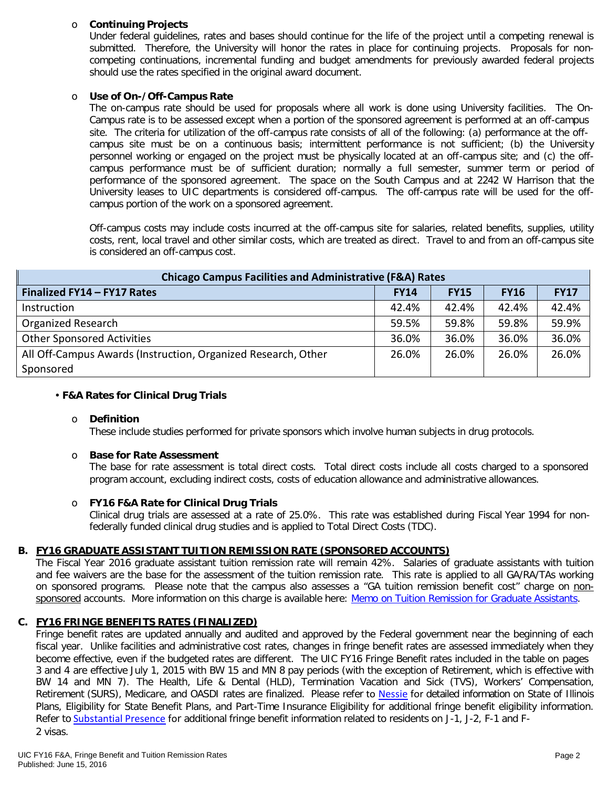# o **Continuing Projects**

Under federal guidelines, rates and bases should continue for the life of the project until a competing renewal is submitted. Therefore, the University will honor the rates in place for continuing projects. Proposals for noncompeting continuations, incremental funding and budget amendments for previously awarded federal projects should use the rates specified in the original award document.

#### o **Use of On-/Off-Campus Rate**

The on-campus rate should be used for proposals where all work is done using University facilities. The On-Campus rate is to be assessed except when a portion of the sponsored agreement is performed at an off-campus site. The criteria for utilization of the off-campus rate consists of all of the following: (a) performance at the offcampus site must be on a continuous basis; intermittent performance is not sufficient; (b) the University personnel working or engaged on the project must be physically located at an off-campus site; and (c) the offcampus performance must be of sufficient duration; normally a full semester, summer term or period of performance of the sponsored agreement. The space on the South Campus and at 2242 W Harrison that the University leases to UIC departments is considered off-campus. The off-campus rate will be used for the offcampus portion of the work on a sponsored agreement.

Off-campus costs may include costs incurred at the off-campus site for salaries, related benefits, supplies, utility costs, rent, local travel and other similar costs, which are treated as direct. Travel to and from an off-campus site is considered an off-campus cost.

| <b>Chicago Campus Facilities and Administrative (F&amp;A) Rates</b> |             |             |             |             |  |  |
|---------------------------------------------------------------------|-------------|-------------|-------------|-------------|--|--|
| Finalized FY14 - FY17 Rates                                         | <b>FY14</b> | <b>FY15</b> | <b>FY16</b> | <b>FY17</b> |  |  |
| Instruction                                                         | 42.4%       | 42.4%       | 42.4%       | 42.4%       |  |  |
| <b>Organized Research</b>                                           | 59.5%       | 59.8%       | 59.8%       | 59.9%       |  |  |
| <b>Other Sponsored Activities</b>                                   | 36.0%       | 36.0%       | 36.0%       | 36.0%       |  |  |
| All Off-Campus Awards (Instruction, Organized Research, Other       | 26.0%       | 26.0%       | 26.0%       | 26.0%       |  |  |
| Sponsored                                                           |             |             |             |             |  |  |

#### • **F&A Rates for Clinical Drug Trials**

#### o **Definition**

These include studies performed for private sponsors which involve human subjects in drug protocols.

#### o **Base for Rate Assessment**

The base for rate assessment is total direct costs. Total direct costs include all costs charged to a sponsored program account, excluding indirect costs, costs of education allowance and administrative allowances.

## o **FY16 F&A Rate for Clinical Drug Trials**

Clinical drug trials are assessed at a rate of 25.0%. This rate was established during Fiscal Year 1994 for nonfederally funded clinical drug studies and is applied to Total Direct Costs (TDC).

# **B. FY16 GRADUATE ASSISTANT TUITION REMISSION RATE (SPONSORED ACCOUNTS)**

The Fiscal Year 2016 graduate assistant tuition remission rate will remain 42%. Salaries of graduate assistants with tuition and fee waivers are the base for the assessment of the tuition remission rate. This rate is applied to all GA/RA/TAs working on sponsored programs. Please note that the campus also assesses a "GA tuition remission benefit cost" charge on non-sponsored accounts. More information on this charge is available here: [Memo on Tuition Remission for Graduate Assistants.](https://www.obfs.uillinois.edu/common/pages/DisplayFile.aspx?itemId=436386)

## **C. FY16 FRINGE BENEFITS RATES (FINALIZED)**

Fringe benefit rates are updated annually and audited and approved by the Federal government near the beginning of each fiscal year. Unlike facilities and administrative cost rates, changes in fringe benefit rates are assessed immediately when they become effective, even if the budgeted rates are different. The UIC FY16 Fringe Benefit rates included in the table on pages 3 and 4 are effective July 1, 2015 with BW 15 and MN 8 pay periods (with the exception of Retirement, which is effective with BW 14 and MN 7). The Health, Life & Dental (HLD), Termination Vacation and Sick (TVS), Workers' Compensation, Retirement (SURS), Medicare, and OASDI rates are finalized. Please refer to [Nessie](http://nessie.uihr.uillinois.edu/cf/benefits/) for detailed information on State of Illinois Plans, Eligibility for State Benefit Plans, and Part-Time Insurance Eligibility for additional fringe benefit eligibility information. Refer to [Substantial Presence](http://www.uic.edu/com/gme/rpm_comp___benefits.htm#real_substantial_pres) for additional fringe benefit information related to residents on J-1, J-2, F-1 and F-2 visas.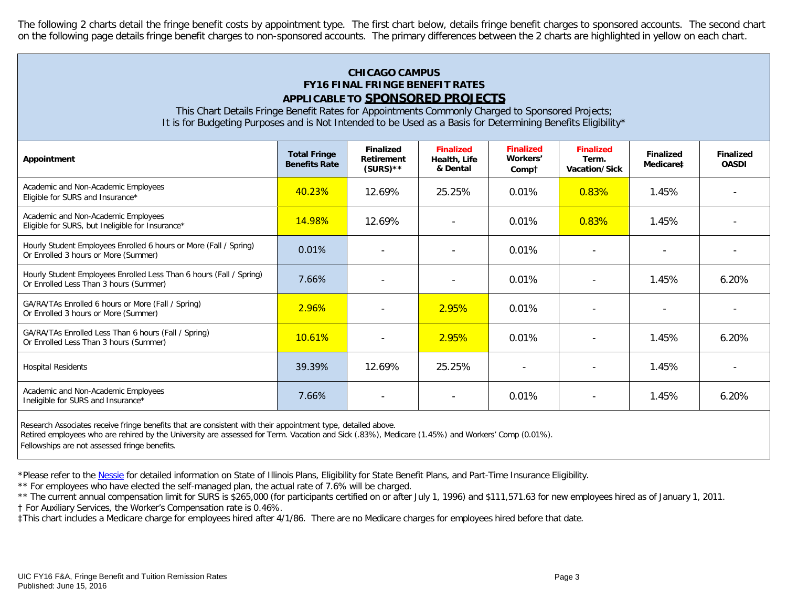The following 2 charts detail the fringe benefit costs by appointment type. The first chart below, details fringe benefit charges to sponsored accounts. The second chart on the following page details fringe benefit charges to non-sponsored accounts. The primary differences between the 2 charts are highlighted in yellow on each chart.

# **CHICAGO CAMPUS FY16 FINAL FRINGE BENEFIT RATES APPLICABLE TO SPONSORED PROJECTS**

This Chart Details Fringe Benefit Rates for Appointments Commonly Charged to Sponsored Projects; It is for Budgeting Purposes and is Not Intended to be Used as a Basis for Determining Benefits Eligibility\*

| Appointment                                                                                                   | <b>Total Fringe</b><br><b>Benefits Rate</b> | <b>Finalized</b><br>Retirement<br>$(SURS)$ ** | <b>Finalized</b><br>Health, Life<br>& Dental | <b>Finalized</b><br>Workers'<br>Compt | <b>Finalized</b><br>Term.<br>Vacation/Sick | <b>Finalized</b><br>Medicare‡ | <b>Finalized</b><br><b>OASDI</b> |
|---------------------------------------------------------------------------------------------------------------|---------------------------------------------|-----------------------------------------------|----------------------------------------------|---------------------------------------|--------------------------------------------|-------------------------------|----------------------------------|
| Academic and Non-Academic Employees<br>Eligible for SURS and Insurance*                                       | 40.23%                                      | 12.69%                                        | 25.25%                                       | 0.01%                                 | 0.83%                                      | 1.45%                         |                                  |
| Academic and Non-Academic Employees<br>Eligible for SURS, but Ineligible for Insurance*                       | 14.98%                                      | 12.69%                                        |                                              | 0.01%                                 | 0.83%                                      | 1.45%                         |                                  |
| Hourly Student Employees Enrolled 6 hours or More (Fall / Spring)<br>Or Enrolled 3 hours or More (Summer)     | 0.01%                                       |                                               | $\overline{\phantom{a}}$                     | 0.01%                                 |                                            |                               |                                  |
| Hourly Student Employees Enrolled Less Than 6 hours (Fall / Spring)<br>Or Enrolled Less Than 3 hours (Summer) | 7.66%                                       | $\overline{\phantom{a}}$                      |                                              | 0.01%                                 | $\blacksquare$                             | 1.45%                         | 6.20%                            |
| GA/RA/TAs Enrolled 6 hours or More (Fall / Spring)<br>Or Enrolled 3 hours or More (Summer)                    | 2.96%                                       | $\overline{\phantom{a}}$                      | 2.95%                                        | $0.01\%$                              | $\overline{\phantom{a}}$                   |                               |                                  |
| GA/RA/TAs Enrolled Less Than 6 hours (Fall / Spring)<br>Or Enrolled Less Than 3 hours (Summer)                | 10.61%                                      | $\blacksquare$                                | 2.95%                                        | 0.01%                                 | $\qquad \qquad \blacksquare$               | 1.45%                         | 6.20%                            |
| <b>Hospital Residents</b>                                                                                     | 39.39%                                      | 12.69%                                        | 25.25%                                       | $\overline{\phantom{a}}$              |                                            | 1.45%                         |                                  |
| Academic and Non-Academic Employees<br>Ineligible for SURS and Insurance*                                     | 7.66%                                       |                                               |                                              | 0.01%                                 |                                            | 1.45%                         | 6.20%                            |
|                                                                                                               |                                             |                                               |                                              |                                       |                                            |                               |                                  |

Research Associates receive fringe benefits that are consistent with their appointment type, detailed above.

Retired employees who are rehired by the University are assessed for Term. Vacation and Sick (.83%), Medicare (1.45%) and Workers' Comp (0.01%).

Fellowships are not assessed fringe benefits.

\*Please refer to the [Nessie](http://nessie.uihr.uillinois.edu/cf/benefits/) for detailed information on State of Illinois Plans, Eligibility for State Benefit Plans, and Part-Time Insurance Eligibility.

\*\* For employees who have elected the self-managed plan, the actual rate of 7.6% will be charged.

\*\* The current annual compensation limit for SURS is \$265,000 (for participants certified on or after July 1, 1996) and \$111,571.63 for new employees hired as of January 1, 2011.

† For Auxiliary Services, the Worker's Compensation rate is 0.46%.

‡This chart includes a Medicare charge for employees hired after 4/1/86. There are no Medicare charges for employees hired before that date.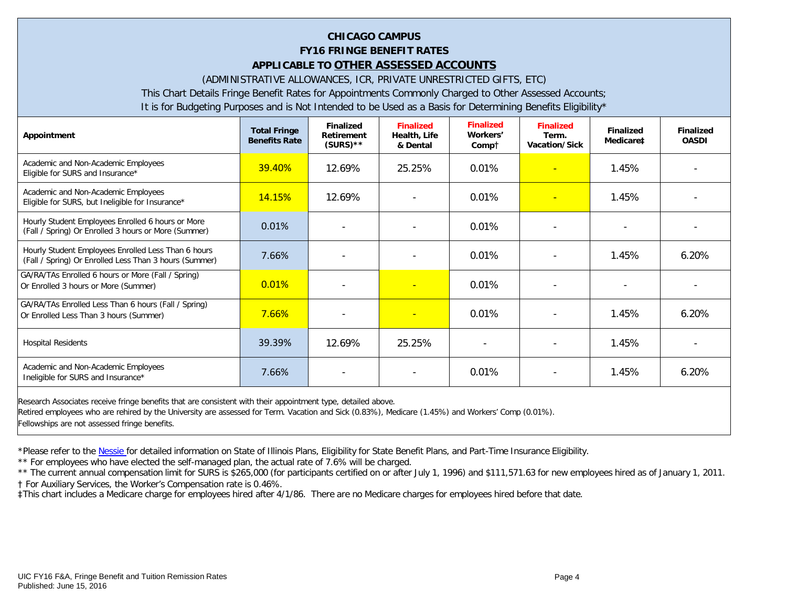# **CHICAGO CAMPUS FY16 FRINGE BENEFIT RATES APPLICABLE TO OTHER ASSESSED ACCOUNTS**

(ADMINISTRATIVE ALLOWANCES, ICR, PRIVATE UNRESTRICTED GIFTS, ETC)

This Chart Details Fringe Benefit Rates for Appointments Commonly Charged to Other Assessed Accounts;

It is for Budgeting Purposes and is Not Intended to be Used as a Basis for Determining Benefits Eligibility\*

| Appointment                                                                                                   | <b>Total Fringe</b><br><b>Benefits Rate</b> | <b>Finalized</b><br>Retirement<br>$(SURS)$ ** | <b>Finalized</b><br>Health, Life<br>& Dental | <b>Finalized</b><br>Workers'<br>Compt | <b>Finalized</b><br>Term.<br><b>Vacation/Sick</b> | <b>Finalized</b><br>Medicare‡ | <b>Finalized</b><br><b>OASDI</b> |
|---------------------------------------------------------------------------------------------------------------|---------------------------------------------|-----------------------------------------------|----------------------------------------------|---------------------------------------|---------------------------------------------------|-------------------------------|----------------------------------|
| Academic and Non-Academic Employees<br>Eligible for SURS and Insurance*                                       | 39.40%                                      | 12.69%                                        | 25.25%                                       | 0.01%                                 |                                                   | 1.45%                         |                                  |
| Academic and Non-Academic Employees<br>Eligible for SURS, but Ineligible for Insurance*                       | <b>14.15%</b>                               | 12.69%                                        |                                              | 0.01%                                 | ٠                                                 | 1.45%                         |                                  |
| Hourly Student Employees Enrolled 6 hours or More<br>(Fall / Spring) Or Enrolled 3 hours or More (Summer)     | 0.01%                                       |                                               |                                              | 0.01%                                 |                                                   |                               |                                  |
| Hourly Student Employees Enrolled Less Than 6 hours<br>(Fall / Spring) Or Enrolled Less Than 3 hours (Summer) | 7.66%                                       |                                               |                                              | 0.01%                                 |                                                   | 1.45%                         | 6.20%                            |
| GA/RA/TAs Enrolled 6 hours or More (Fall / Spring)<br>Or Enrolled 3 hours or More (Summer)                    | 0.01%                                       |                                               | $\equiv$                                     | 0.01%                                 |                                                   |                               |                                  |
| GA/RA/TAs Enrolled Less Than 6 hours (Fall / Spring)<br>Or Enrolled Less Than 3 hours (Summer)                | 7.66%                                       |                                               |                                              | 0.01%                                 |                                                   | 1.45%                         | 6.20%                            |
| <b>Hospital Residents</b>                                                                                     | 39.39%                                      | 12.69%                                        | 25.25%                                       |                                       |                                                   | 1.45%                         |                                  |
| Academic and Non-Academic Employees<br>Ineligible for SURS and Insurance*                                     | 7.66%                                       |                                               | $\overline{\phantom{a}}$                     | 0.01%                                 |                                                   | 1.45%                         | 6.20%                            |
| Research Associates receive fringe benefits that are consistent with their appointment type, detailed above.  |                                             |                                               |                                              |                                       |                                                   |                               |                                  |

Retired employees who are rehired by the University are assessed for Term. Vacation and Sick (0.83%), Medicare (1.45%) and Workers' Comp (0.01%).

Fellowships are not assessed fringe benefits.

\*Please refer to th[e Nessie f](http://nessie.uihr.uillinois.edu/cf/benefits/)or detailed information on State of Illinois Plans, Eligibility for State Benefit Plans, and Part-Time Insurance Eligibility.

\*\* For employees who have elected the self-managed plan, the actual rate of 7.6% will be charged.

\*\* The current annual compensation limit for SURS is \$265,000 (for participants certified on or after July 1, 1996) and \$111,571.63 for new employees hired as of January 1, 2011. † For Auxiliary Services, the Worker's Compensation rate is 0.46%.

‡This chart includes a Medicare charge for employees hired after 4/1/86. There are no Medicare charges for employees hired before that date.